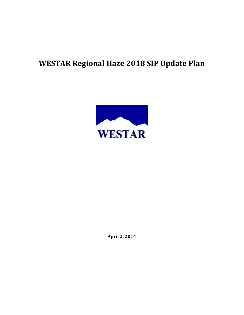# **WESTAR Regional Haze 2018 SIP Update Plan**



**April 2, 2014**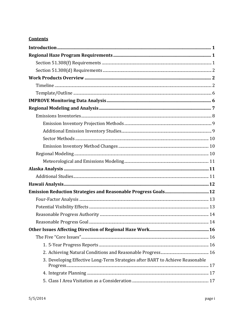# **Contents**

| 3. Developing Effective Long-Term Strategies after BART to Achieve Reasonable |  |
|-------------------------------------------------------------------------------|--|
|                                                                               |  |
|                                                                               |  |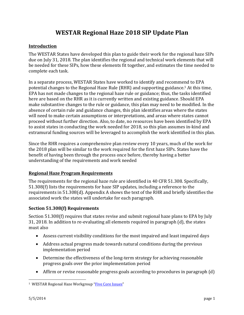# **WESTAR Regional Haze 2018 SIP Update Plan**

#### **Introduction**

The WESTAR States have developed this plan to guide their work for the regional haze SIPs due on July 31, 2018. The plan identifies the regional and technical work elements that will be needed for these SIPs, how these elements fit together, and estimates the time needed to complete each task.

In a separate process, WESTAR States have worked to identify and recommend to EPA potential changes to the Regional Haze Rule  $(RHR)$  and supporting guidance.<sup>1</sup> At this time, EPA has not made changes to the regional haze rule or guidance; thus, the tasks identified here are based on the RHR as it is currently written and existing guidance. Should EPA make substantive changes to the rule or guidance, this plan may need to be modified. In the absence of certain rule and guidance changes, this plan identifies areas where the states will need to make certain assumptions or interpretations, and areas where states cannot proceed without further direction. Also, to date, no resources have been identified by EPA to assist states in conducting the work needed for 2018, so this plan assumes in-kind and extramural funding sources will be leveraged to accomplish the work identified in this plan.

Since the RHR requires a comprehensive plan review every 10 years, much of the work for the 2018 plan will be similar to the work required for the first haze SIPs. States have the benefit of having been through the process once before, thereby having a better understanding of the requirements and work needed

#### **Regional Haze Program Requirements**

The requirements for the regional haze rule are identified in 40 CFR 51.308. Specifically,  $51.308(f)$  lists the requirements for haze SIP updates, including a reference to the requirements in  $51.308(d)$ . Appendix A shows the text of the RHR and briefly identifies the associated work the states will undertake for each paragraph.

#### **Section 51.308(f)** Requirements

Section 51.308(f) requires that states revise and submit regional haze plans to EPA by July 31, 2018. In addition to re-evaluating all elements required in paragraph (d), the states must also 

- Assess current visibility conditions for the most impaired and least impaired days
- Address actual progress made towards natural conditions during the previous implementation period
- Determine the effectiveness of the long-term strategy for achieving reasonable progress goals over the prior implementation period
- Affirm or revise reasonable progress goals according to procedures in paragraph  $(d)$

 

<sup>&</sup>lt;sup>1</sup> WESTAR Regional Haze Workgroup "Five Core Issues"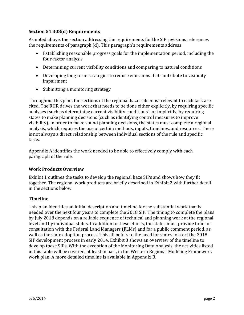#### **Section 51.308(d) Requirements**

As noted above, the section addressing the requirements for the SIP revisions references the requirements of paragraph (d). This paragraph's requirements address

- Establishing reasonable progress goals for the implementation period, including the four-factor analysis
- Determining current visibility conditions and comparing to natural conditions
- Developing long-term strategies to reduce emissions that contribute to visibility impairment
- Submitting a monitoring strategy

Throughout this plan, the sections of the regional haze rule most relevant to each task are cited. The RHR drives the work that needs to be done either explicitly, by requiring specific analyses (such as determining current visibility conditions), or implicitly, by requiring states to make planning decisions (such as identifying control measures to improve visibility). In order to make sound planning decisions, the states must complete a regional analysis, which requires the use of certain methods, inputs, timelines, and resources. There is not always a direct relationship between individual sections of the rule and specific tasks. 

Appendix A identifies the work needed to be able to effectively comply with each paragraph of the rule.

#### **Work Products Overview**

Exhibit 1 outlines the tasks to develop the regional haze SIPs and shows how they fit together. The regional work products are briefly described in Exhibit 2 with further detail in the sections below.

#### **Timeline**

This plan identifies an initial description and timeline for the substantial work that is needed over the next four years to complete the 2018 SIP. The timing to complete the plans by July 2018 depends on a reliable sequence of technical and planning work at the regional level and by individual states. In addition to these efforts, the states must provide time for consultation with the Federal Land Managers (FLMs) and for a public comment period, as well as the state adoption process. This all points to the need for states to start the 2018 SIP development process in early 2014. Exhibit 3 shows an overview of the timeline to develop these SIPs. With the exception of the Monitoring Data Analysis, the activities listed in this table will be covered, at least in part, in the Western Regional Modeling Framework work plan. A more detailed timeline is available in Appendix B.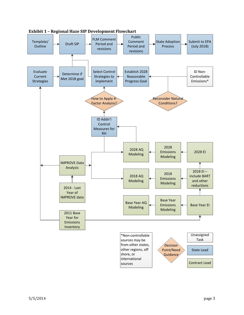

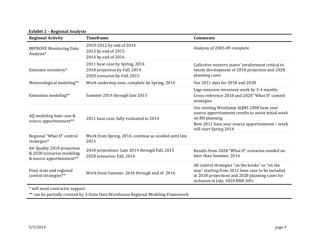**Exhibit 2 – Regional Analysis**

| <b>Regional Activity</b>                                                             | <b>Timeframe</b>                                                                                | <b>Comments</b>                                                                                                                                                                                |
|--------------------------------------------------------------------------------------|-------------------------------------------------------------------------------------------------|------------------------------------------------------------------------------------------------------------------------------------------------------------------------------------------------|
| <b>IMPROVE Monitoring Data</b><br>Analysis*                                          | 2010-2012 by end of 2014<br>2013 by end of 2015<br>2014 by end of 2016                          | Analysis of 2005-09 complete                                                                                                                                                                   |
| Emission inventory*                                                                  | 2011 base case by Spring, 2014<br>2018 projection by Fall, 2014<br>2028 scenarios by Fall, 2015 | Collective western states' involvement critical to<br>timely development of 2018 projection and 2028<br>planning cases                                                                         |
| Meteorological modeling**                                                            | Work underway now, complete by Spring, 2014                                                     | Use 2011 data for 2018 and 2028                                                                                                                                                                |
| Emissions modeling**                                                                 | Summer 2014 through late 2015                                                                   | Lags emission inventory work by 3-4 months<br>Cross-reference 2018 and 2028 "What If" control<br>strategies                                                                                    |
| AQ modeling base case &<br>source apportionment**                                    | 2011 base case, fully evaluated in 2014                                                         | Use existing WestJump AQMS 2008 base year<br>source apportionment results to assist initial work<br>on RH planning<br>New 2011 base year source apportionment - work<br>will start Spring 2014 |
| Regional "What If" control<br>strategies*                                            | Work from Spring, 2014, continue as needed until late<br>2015                                   |                                                                                                                                                                                                |
| Air Quality 2018 projection<br>& 2028 scenarios modeling<br>& source apportionment** | 2018 projections: Late 2014 through Fall, 2015<br>2028 scenarios: Fall, 2016                    | Results from 2028 "What If" scenarios needed no<br>later than Summer, 2016                                                                                                                     |
| Final state and regional<br>control strategies**                                     | Work from Summer, 2016 through end of 2016                                                      | All control strategies "on the books" or "on the<br>way" starting from 2011 base case to be included<br>in 2018 projections and 2028 planning cases for<br>inclusion in July, 2018 RHR SIPs    |
| * will need contractor support                                                       |                                                                                                 |                                                                                                                                                                                                |

 $^{**}$  can be partially covered by 3-State Data Warehouse Regional Modeling Framework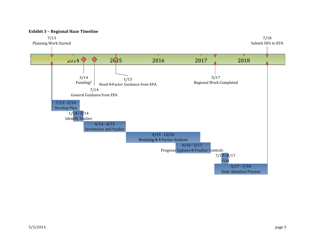

#### **Exhibit 3 – Regional Haze Timeline**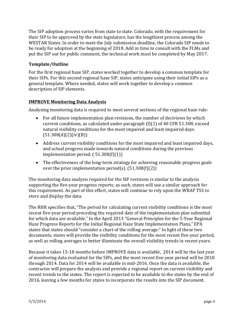The SIP adoption process varies from state to state. Colorado, with the requirement for their SIP to be approved by the state legislature, has the lengthiest process among the WESTAR States. In order to meet the July submission deadline, the Colorado SIP needs to be ready for adoption at the beginning of 2018. Add in time to consult with the FLMs and put the SIP out for public comment, the technical work must be completed by May 2017.

#### **Template/Outline**

For the first regional haze SIP, states worked together to develop a common template for their SIPs. For this second regional haze SIP, states anticipate using their initial SIPs as a general template. Where needed, states will work together to develop a common description of SIP elements.

#### **IMPROVE Monitoring Data Analysis**

Analyzing monitoring data is required to meet several sections of the regional haze rule:

- For all future implementation plan revisions, the number of deciviews by which current conditions, as calculated under paragraph  $(f)(1)$  of 40 CFR 51.308, exceed natural visibility conditions for the most impaired and least impaired days.  $(51.308(d)(2)(iv)(B))$
- Address current visibility conditions for the most impaired and least impaired days, and actual progress made towards natural conditions during the previous implementation period.  $(51.308(f)(1))$
- The effectiveness of the long-term strategy for achieving reasonable progress goals over the prior implementation period(s).  $(51.308(f)(2))$

The monitoring data analysis required for the SIP revisions is similar to the analysis supporting the five-year progress reports; as such, states will use a similar approach for this requirement. As part of this effort, states will continue to rely upon the WRAP TSS to store and display the data.

The RHR specifies that, "The period for calculating current visibility conditions is the most recent five-year period preceding the required date of the implementation plan submittal for which data are available." In the April 2013 "General Principles for the 5-Year Regional Haze Progress Reports for the Initial Regional Haze State Implementation Plans," EPA states that states should "consider a chart of the rolling average." In light of these two documents, states will provide the visibility conditions for the most recent five-year period, as well as rolling averages to better illuminate the overall visibility trends in recent years.

Because it takes 15-18 months before IMPROVE data is available, 2014 will be the last year of monitoring data evaluated for the SIPs, and the most recent five-year period will be 2010 through 2014. Data for 2014 will be available in mid-2016. Once the data is available, the contractor will prepare the analysis and provide a regional report on current visibility and recent trends to the states. The report is expected to be available to the states by the end of 2016, leaving a few months for states to incorporate the results into the SIP document.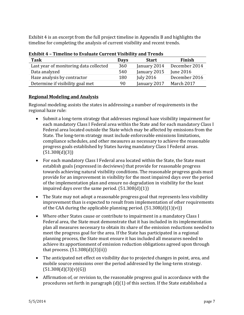Exhibit 4 is an excerpt from the full project timeline in Appendix B and highlights the timeline for completing the analysis of current visibility and recent trends.

| LAMINJIL I<br>THREADY TO DISTRIBUTE OUTLETING TISHBITLEY UNIVERSITY |             |                  |                  |
|---------------------------------------------------------------------|-------------|------------------|------------------|
| <b>Task</b>                                                         | <b>Days</b> | <b>Start</b>     | Finish           |
| Last year of monitoring data collected                              | 360         | January 2014     | December 2014    |
| Data analyzed                                                       | 540         | January 2015     | <b>June 2016</b> |
| Haze analysis by contractor                                         | 180         | <b>July 2016</b> | December 2016    |
| Determine if visibility goal met                                    | 90          | January 2017     | March 2017       |

**Exhibit 4 – Timeline to Evaluate Current Visibility and Trends**

#### **Regional Modeling and Analysis**

Regional modeling assists the states in addressing a number of requirements in the regional haze rule:

- Submit a long-term strategy that addresses regional haze visibility impairment for each mandatory Class I Federal area within the State and for each mandatory Class I Federal area located outside the State which may be affected by emissions from the State. The long-term strategy must include enforceable emissions limitations, compliance schedules, and other measures as necessary to achieve the reasonable progress goals established by States having mandatory Class I Federal areas.  $(51.308(d)(3))$
- For each mandatory Class I Federal area located within the State, the State must establish goals (expressed in deciviews) that provide for reasonable progress towards achieving natural visibility conditions. The reasonable progress goals must provide for an improvement in visibility for the most impaired days over the period of the implementation plan and ensure no degradation in visibility for the least impaired days over the same period.  $(51.308(d)(1))$
- The State may not adopt a reasonable progress goal that represents less visibility improvement than is expected to result from implementation of other requirements of the CAA during the applicable planning period.  $(51.308(d)(1)(vi))$
- Where other States cause or contribute to impairment in a mandatory Class I Federal area, the State must demonstrate that it has included in its implementation plan all measures necessary to obtain its share of the emission reductions needed to meet the progress goal for the area. If the State has participated in a regional planning process, the State must ensure it has included all measures needed to achieve its apportionment of emission reduction obligations agreed upon through that process.  $(51.308(d)(3)(ii))$
- The anticipated net effect on visibility due to projected changes in point, area, and mobile source emissions over the period addressed by the long-term strategy.  $(51.308(d)(3)(v)(G))$
- Affirmation of, or revision to, the reasonable progress goal in accordance with the procedures set forth in paragraph  $(d)(1)$  of this section. If the State established a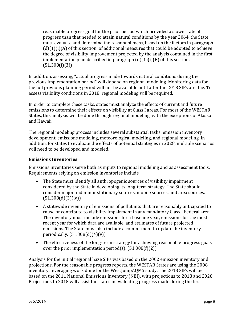reasonable progress goal for the prior period which provided a slower rate of progress than that needed to attain natural conditions by the year 2064, the State must evaluate and determine the reasonableness, based on the factors in paragraph  $(d)(1)(i)(A)$  of this section, of additional measures that could be adopted to achieve the degree of visibility improvement projected by the analysis contained in the first implementation plan described in paragraph  $(d)(1)(i)(B)$  of this section.  $(51.308(f)(3))$ 

In addition, assessing, "actual progress made towards natural conditions during the previous implementation period" will depend on regional modeling. Monitoring data for the full previous planning period will not be available until after the 2018 SIPs are due. To assess visibility conditions in 2018, regional modeling will be required.

In order to complete these tasks, states must analyze the effects of current and future emissions to determine their effects on visibility at Class I areas. For most of the WESTAR States, this analysis will be done through regional modeling, with the exceptions of Alaska and Hawaii. 

The regional modeling process includes several substantial tasks: emission inventory development, emissions modeling, meteorological modeling, and regional modeling. In addition, for states to evaluate the effects of potential strategies in 2028, multiple scenarios will need to be developed and modeled.

#### **Emissions Inventories**

Emissions inventories serve both as inputs to regional modeling and as assessment tools. Requirements relying on emission inventories include

- The State must identify all anthropogenic sources of visibility impairment considered by the State in developing its long-term strategy. The State should consider major and minor stationary sources, mobile sources, and area sources.  $(51.308(d)(3)(iv))$
- A statewide inventory of emissions of pollutants that are reasonably anticipated to cause or contribute to visibility impairment in any mandatory Class I Federal area. The inventory must include emissions for a baseline year, emissions for the most recent year for which data are available, and estimates of future projected emissions. The State must also include a commitment to update the inventory periodically.  $(51.308(d)(4)(v))$
- The effectiveness of the long-term strategy for achieving reasonable progress goals over the prior implementation period(s).  $(51.308(f)(2))$

Analysis for the initial regional haze SIPs was based on the 2002 emission inventory and projections. For the reasonable progress reports, the WESTAR States are using the 2008 inventory, leveraging work done for the WestJumpAQMS study. The 2018 SIPs will be based on the 2011 National Emissions Inventory (NEI), with projections to 2018 and 2028. Projections to 2018 will assist the states in evaluating progress made during the first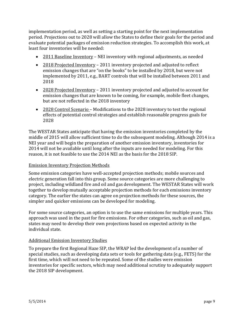implementation period, as well as setting a starting point for the next implementation period. Projections out to 2028 will allow the States to define their goals for the period and evaluate potential packages of emission reduction strategies. To accomplish this work, at least four inventories will be needed:

- 2011 Baseline Inventory NEI inventory with regional adjustments, as needed
- 2018 Projected Inventory 2011 inventory projected and adjusted to reflect emission changes that are "on the books" to be installed by 2018, but were not implemented by 2011, e.g., BART controls that will be installed between 2011 and 2018
- 2028 Projected Inventory 2011 inventory projected and adjusted to account for emission changes that are known to be coming, for example, mobile fleet changes, but are not reflected in the 2018 inventory
- 2028 Control Scenario Modifications to the 2028 inventory to test the regional effects of potential control strategies and establish reasonable progress goals for 2028

The WESTAR States anticipate that having the emission inventories completed by the middle of 2015 will allow sufficient time to do the subsequent modeling. Although 2014 is a NEI year and will begin the preparation of another emission inventory, inventories for 2014 will not be available until long after the inputs are needed for modeling. For this reason, it is not feasible to use the 2014 NEI as the basis for the 2018 SIP.

#### **Emission Inventory Projection Methods**

Some emission categories have well-accepted projection methods; mobile sources and electric generation fall into this group. Some source categories are more challenging to project, including wildland fire and oil and gas development. The WESTAR States will work together to develop mutually acceptable projection methods for each emissions inventory category. The earlier the states can agree on projection methods for these sources, the simpler and quicker emissions can be developed for modeling.

For some source categories, an option is to use the same emissions for multiple years. This approach was used in the past for fire emissions. For other categories, such as oil and gas, states may need to develop their own projections based on expected activity in the individual state. 

#### **Additional Emission Inventory Studies**

To prepare the first Regional Haze SIP, the WRAP led the development of a number of special studies, such as developing data sets or tools for gathering data (e.g., FETS) for the first time, which will not need to be repeated. Some of the studies were emission inventories for specific sectors, which may need additional scrutiny to adequately support the 2018 SIP development.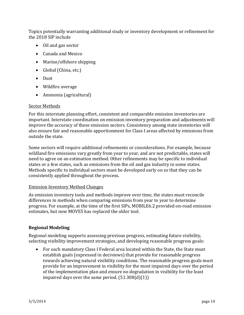Topics potentially warranting additional study or inventory development or refinement for the 2018 SIP include

- Oil and gas sector
- Canada and Mexico
- $\bullet$  Marine/offshore shipping
- Global (China, etc.)
- Dust
- Wildfire average
- Ammonia (agricultural)

#### Sector Methods

For this interstate planning effort, consistent and comparable emission inventories are important. Interstate coordination on emission inventory preparation and adjustments will improve the accuracy of these emission sectors. Consistency among state inventories will also ensure fair and reasonable apportionment for Class I areas affected by emissions from outside the state.

Some sectors will require additional refinements or considerations. For example, because wildland fire emissions vary greatly from year to year, and are not predictable, states will need to agree on an estimation method. Other refinements may be specific to individual states or a few states, such as emissions from the oil and gas industry in some states. Methods specific to individual sectors must be developed early on so that they can be consistently applied throughout the process.

#### **Emission Inventory Method Changes**

As emission inventory tools and methods improve over time, the states must reconcile differences in methods when comparing emissions from year to year to determine progress. For example, at the time of the first SIPs, MOBILE6.2 provided on-road emission estimates, but now MOVES has replaced the older tool.

#### **Regional Modeling**

Regional modeling supports assessing previous progress, estimating future visibility, selecting visibility improvement strategies, and developing reasonable progress goals:

• For each mandatory Class I Federal area located within the State, the State must establish goals (expressed in deciviews) that provide for reasonable progress towards achieving natural visibility conditions. The reasonable progress goals must provide for an improvement in visibility for the most impaired days over the period of the implementation plan and ensure no degradation in visibility for the least impaired days over the same period.  $(51.308(d)(1))$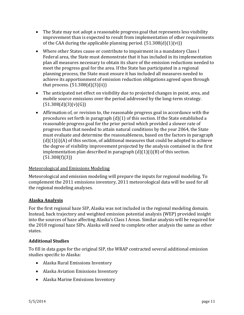- The State may not adopt a reasonable progress goal that represents less visibility improvement than is expected to result from implementation of other requirements of the CAA during the applicable planning period.  $(51.308(d)(1)(vi))$
- Where other States cause or contribute to impairment in a mandatory Class I Federal area, the State must demonstrate that it has included in its implementation plan all measures necessary to obtain its share of the emission reductions needed to meet the progress goal for the area. If the State has participated in a regional planning process, the State must ensure it has included all measures needed to achieve its apportionment of emission reduction obligations agreed upon through that process.  $(51.308(d)(3)(ii))$
- $\bullet$  The anticipated net effect on visibility due to projected changes in point, area, and mobile source emissions over the period addressed by the long-term strategy.  $(51.308(d)(3)(v)(G))$
- Affirmation of, or revision to, the reasonable progress goal in accordance with the procedures set forth in paragraph  $(d)(1)$  of this section. If the State established a reasonable progress goal for the prior period which provided a slower rate of progress than that needed to attain natural conditions by the year 2064, the State must evaluate and determine the reasonableness, based on the factors in paragraph  $(d)(1)(i)(A)$  of this section, of additional measures that could be adopted to achieve the degree of visibility improvement projected by the analysis contained in the first implementation plan described in paragraph  $(d)(1)(i)(B)$  of this section.  $(51.308(f)(3))$

#### Meteorological and Emissions Modeling

Meteorological and emission modeling will prepare the inputs for regional modeling. To complement the 2011 emissions inventory, 2011 meteorological data will be used for all the regional modeling analyses.

#### **Alaska Analysis**

For the first regional haze SIP, Alaska was not included in the regional modeling domain. Instead, back trajectory and weighted emission potential analysis (WEP) provided insight into the sources of haze affecting Alaska's Class I Areas. Similar analysis will be required for the 2018 regional haze SIPs. Alaska will need to complete other analysis the same as other states. 

#### **Additional Studies**

To fill in data gaps for the original SIP, the WRAP contracted several additional emission studies specific to Alaska:

- Alaska Rural Emissions Inventory
- Alaska Aviation Emissions Inventory
- Alaska Marine Emissions Inventory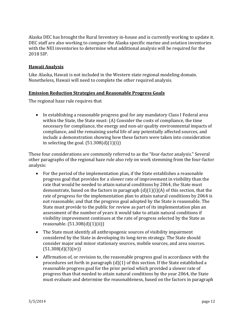Alaska DEC has brought the Rural Inventory in-house and is currently working to update it. DEC staff are also working to compare the Alaska specific marine and aviation inventories with the NEI inventories to determine what additional analysis will be required for the 2018 SIP. 

#### **Hawaii Analysis**

Like Alaska, Hawaii is not included in the Western state regional modeling domain. Nonetheless, Hawaii will need to complete the other required analysis.

#### **Emission Reduction Strategies and Reasonable Progress Goals**

The regional haze rule requires that

• In establishing a reasonable progress goal for any mandatory Class I Federal area within the State, the State must:  $(A)$  Consider the costs of compliance, the time necessary for compliance, the energy and non-air quality environmental impacts of compliance, and the remaining useful life of any potentially affected sources, and include a demonstration showing how these factors were taken into consideration in selecting the goal.  $(51.308(d)(1)(i))$ 

These four considerations are commonly referred to as the "four-factor analysis." Several other paragraphs of the regional haze rule also rely on work stemming from the four-factor analysis: 

- For the period of the implementation plan, if the State establishes a reasonable progress goal that provides for a slower rate of improvement in visibility than the rate that would be needed to attain natural conditions by 2064, the State must demonstrate, based on the factors in paragraph  $(d)(1)(i)(A)$  of this section, that the rate of progress for the implementation plan to attain natural conditions by 2064 is not reasonable; and that the progress goal adopted by the State is reasonable. The State must provide to the public for review as part of its implementation plan an assessment of the number of years it would take to attain natural conditions if visibility improvement continues at the rate of progress selected by the State as reasonable.  $(51.308(d)(1)(ii))$
- The State must identify all anthropogenic sources of visibility impairment considered by the State in developing its long-term strategy. The State should consider major and minor stationary sources, mobile sources, and area sources.  $(51.308(d)(3)(iv))$
- Affirmation of, or revision to, the reasonable progress goal in accordance with the procedures set forth in paragraph  $(d)(1)$  of this section. If the State established a reasonable progress goal for the prior period which provided a slower rate of progress than that needed to attain natural conditions by the year 2064, the State must evaluate and determine the reasonableness, based on the factors in paragraph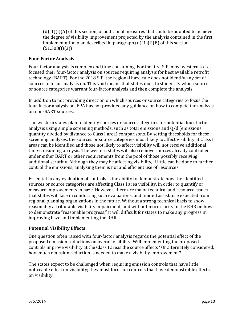$(d)(1)(i)(A)$  of this section, of additional measures that could be adopted to achieve the degree of visibility improvement projected by the analysis contained in the first implementation plan described in paragraph  $(d)(1)(i)(B)$  of this section.  $(51.308(f)(3))$ 

#### **Four‐Factor Analysis**

Four-factor analysis is complex and time consuming. For the first SIP, most western states focused their four-factor analysis on sources requiring analysis for best available retrofit technology (BART). For the 2018 SIP, the regional haze rule does not identify any set of sources to focus analysis on. This void means that states must first identify which sources or source categories warrant four-factor analysis and then complete the analysis.

In addition to not providing direction on which sources or source categories to focus the four-factor analysis on, EPA has not provided any guidance on how to compete the analysis on non-BART sources.

The western states plan to identify sources or source categories for potential four-factor analysis using simple screening methods, such as total emissions and  $Q/d$  (emissions quantity divided by distance to Class I area) comparisons. By setting thresholds for these screening analyses, the sources or source categories most likely to affect visibility at Class I areas can be identified and those not likely to affect visibility will not receive additional time-consuming analysis. The western states will also remove sources already controlled under either BART or other requirements from the pool of those possibly receiving additional scrutiny. Although they may be affecting visibility, if little can be done to further control the emissions, analyzing them is not and efficient use of resources.

Essential to any evaluation of controls is the ability to demonstrate how the identified sources or source categories are affecting Class I area visibility, in order to quantify or measure improvements in haze. However, there are major technical and resource issues that states will face in conducting such evaluations, and limited assistance expected from regional planning organizations in the future. Without a strong technical basis to show reasonably attributable visibility impairment, and without more clarity in the RHR on how to demonstrate "reasonable progress," it will difficult for states to make any progress in improving haze and implementing the RHR.

#### **Potential Visibility Effects**

One question often raised with four-factor analysis regards the potential effect of the proposed emission reductions on overall visibility: Will implementing the proposed controls improve visibility at the Class I areas the source affects? Or alternately considered, how much emission reduction is needed to make a visibility improvement?

The states expect to be challenged when requiring emission controls that have little noticeable effect on visibility; they must focus on controls that have demonstrable effects on visibility.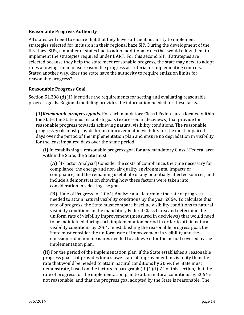#### **Reasonable Progress Authority**

All states will need to ensure that that they have sufficient authority to implement strategies selected for inclusion in their regional haze SIP. During the development of the first haze SIPs, a number of states had to adopt additional rules that would allow them to implement the strategies required under BART. For this second SIP, if strategies are selected because they help the state meet reasonable progress, the state may need to adopt rules allowing them to use reasonable progress as criteria for implementing controls. Stated another way, does the state have the authority to require emission limits for reasonable progress?

#### **Reasonable Progress Goal**

Section  $51.308$  (d)(1) identifies the requirements for setting and evaluating reasonable progress goals. Regional modeling provides the information needed for these tasks.

**(1)***Reasonable progress goals.* For each mandatory Class I Federal area located within the State, the State must establish goals (expressed in deciviews) that provide for reasonable progress towards achieving natural visibility conditions. The reasonable progress goals must provide for an improvement in visibility for the most impaired days over the period of the implementation plan and ensure no degradation in visibility for the least impaired days over the same period.

**(i)** In establishing a reasonable progress goal for any mandatory Class I Federal area within the State, the State must:

**(A)** [4-Factor Analysis] Consider the costs of compliance, the time necessary for compliance, the energy and non-air quality environmental impacts of compliance, and the remaining useful life of any potentially affected sources, and include a demonstration showing how these factors were taken into consideration in selecting the goal.

**(B)** [Rate of Progress for 2064] Analyze and determine the rate of progress needed to attain natural visibility conditions by the year 2064. To calculate this rate of progress, the State must compare baseline visibility conditions to natural visibility conditions in the mandatory Federal Class I area and determine the uniform rate of visibility improvement (measured in deciviews) that would need to be maintained during each implementation period in order to attain natural visibility conditions by 2064. In establishing the reasonable progress goal, the State must consider the uniform rate of improvement in visibility and the emission reduction measures needed to achieve it for the period covered by the implementation plan.

**(ii)** For the period of the implementation plan, if the State establishes a reasonable progress goal that provides for a slower rate of improvement in visibility than the rate that would be needed to attain natural conditions by 2064, the State must demonstrate, based on the factors in paragraph  $(d)(1)(i)(A)$  of this section, that the rate of progress for the implementation plan to attain natural conditions by 2064 is not reasonable; and that the progress goal adopted by the State is reasonable. The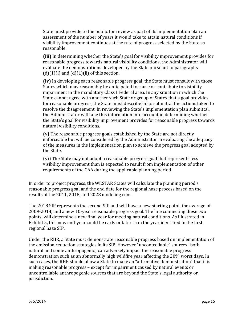State must provide to the public for review as part of its implementation plan an assessment of the number of years it would take to attain natural conditions if visibility improvement continues at the rate of progress selected by the State as reasonable. 

**(iii)** In determining whether the State's goal for visibility improvement provides for reasonable progress towards natural visibility conditions, the Administrator will evaluate the demonstrations developed by the State pursuant to paragraphs  $(d)(1)(i)$  and  $(d)(1)(ii)$  of this section.

**(iv)** In developing each reasonable progress goal, the State must consult with those States which may reasonably be anticipated to cause or contribute to visibility impairment in the mandatory Class I Federal area. In any situation in which the State cannot agree with another such State or group of States that a goal provides for reasonable progress, the State must describe in its submittal the actions taken to resolve the disagreement. In reviewing the State's implementation plan submittal, the Administrator will take this information into account in determining whether the State's goal for visibility improvement provides for reasonable progress towards natural visibility conditions.

**(v)** The reasonable progress goals established by the State are not directly enforceable but will be considered by the Administrator in evaluating the adequacy of the measures in the implementation plan to achieve the progress goal adopted by the State.

**(vi)** The State may not adopt a reasonable progress goal that represents less visibility improvement than is expected to result from implementation of other requirements of the CAA during the applicable planning period.

In order to project progress, the WESTAR States will calculate the planning period's reasonable progress goal and the end date for the regional haze process based on the results of the 2011, 2018, and 2028 modeling runs.

The 2018 SIP represents the second SIP and will have a new starting point, the average of  $2009-2014$ , and a new 10-year reasonable progress goal. The line connecting these two points, will determine a new final year for meeting natural conditions. As illustrated in Exhibit 5, this new end-year could be early or later than the year identified in the first regional haze SIP.

Under the RHR, a State must demonstrate reasonable progress based on implementation of the emission reduction strategies in its SIP. However "uncontrollable" sources (both natural and some anthropogenic) can adversely impact the reasonable progress demonstration such as an abnormally high wildfire year affecting the 20% worst days. In such cases, the RHR should allow a State to make an "affirmative demonstration" that it is making reasonable progress – except for impairment caused by natural events or uncontrollable anthropogenic sources that are beyond the State's legal authority or jurisdiction.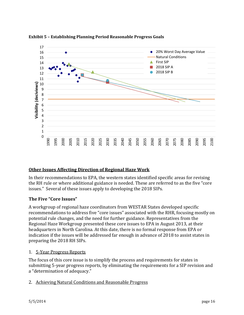

**Exhibit 5 – Establishing Planning Period Reasonable Progress Goals**

# **Other Issues Affecting Direction of Regional Haze Work**

In their recommendations to EPA, the western states identified specific areas for revising the RH rule or where additional guidance is needed. These are referred to as the five "core issues." Several of these issues apply to developing the 2018 SIPs.

# **The Five "Core Issues"**

A workgroup of regional haze coordinators from WESTAR States developed specific recommendations to address five "core issues" associated with the RHR, focusing mostly on potential rule changes, and the need for further guidance. Representatives from the Regional Haze Workgroup presented these core issues to EPA in August 2013, at their headquarters in North Carolina. At this date, there is no formal response from EPA or indication if the issues will be addressed far enough in advance of 2018 to assist states in preparing the 2018 RH SIPs.

### 1. 5-Year Progress Reports

The focus of this core issue is to simplify the process and requirements for states in submitting 5-year progress reports, by eliminating the requirements for a SIP revision and a "determination of adequacy."

2. Achieving Natural Conditions and Reasonable Progress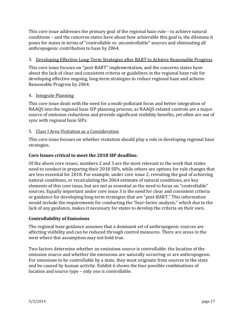This core issue addresses the primary goal of the regional haze rule  $-$  to achieve natural conditions - and the concerns states have about how achievable this goal is, the dilemma it poses for states in terms of "controllable vs. uncontrollable" sources and eliminating all anthropogenic contribution to haze by 2064.

#### 3. Developing Effective Long-Term Strategies after BART to Achieve Reasonable Progress

This core issue focuses on "post-BART" implementation, and the concerns states have about the lack of clear and consistent criteria or guidelines in the regional haze rule for developing effective ongoing, long-term strategies to reduce regional haze and achieve Reasonable Progress by 2064.

#### 4. Integrate Planning

This core issue deals with the need for a multi-pollutant focus and better integration of NAAQS into the regional haze SIP planning process, as NAAQS-related controls are a major source of emission reductions and provide significant visibility benefits, yet often are out of sync with regional haze SIPs.

#### 5. Class I Area Visitation as a Consideration

This core issue focuses on whether visitation should play a role in developing regional haze strategies. 

#### **Core Issues critical to meet the 2018 SIP deadline.**

Of the above core issues, numbers 2 and 3 are the most relevant to the work that states need to conduct in preparing their 2018 SIPs, while others are options for rule changes that are less essential for 2018. For example, under core issue 2, revisiting the goal of achieving natural conditions, or recalculating the 2064 estimate of natural conditions, are key elements of this core issue, but are not as essential as the need to focus on "controllable" sources. Equally important under core issue 3 is the need for clear and consistent criteria or guidance for developing long-term strategies that are "post-BART." This information would include the requirements for conducting the "four-factor analysis," which due to the lack of any guidance, makes it necessary for states to develop the criteria on their own.

#### **Controllability of Emissions**

The regional haze guidance assumes that a dominant set of anthropogenic sources are affecting visibility and can be reduced through control measures. There are areas in the west where this assumption may not hold true.

Two factors determine whether an emissions source is controllable: the location of the emission source and whether the emissions are naturally occurring or are anthropogenic. For emissions to be controllable by a state, they must originate from sources in the state and be caused by human activity. Exhibit 6 shows the four possible combinations of location and source type – only one is controllable.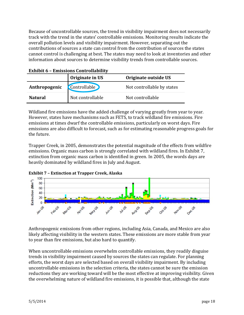Because of uncontrollable sources, the trend in visibility impairment does not necessarily track with the trend in the states' controllable emissions. Monitoring results indicate the overall pollution levels and visibility impairment. However, separating out the contributions of sources a state can control from the contribution of sources the states cannot control is challenging at best. The states may need to look at inventories and other information about sources to determine visibility trends from controllable sources.

|                | Originate in US     | Originate outside US       |
|----------------|---------------------|----------------------------|
| Anthropogenic  | <b>Controllable</b> | Not controllable by states |
| <b>Natural</b> | Not controllable    | Not controllable           |

Wildland fire emissions have the added challenge of varying greatly from year to year. However, states have mechanisms such as FETS, to track wildland fire emissions. Fire emissions at times dwarf the controllable emissions, particularly on worst days. Fire emissions are also difficult to forecast, such as for estimating reasonable progress goals for the future.

Trapper Creek, in 2005, demonstrates the potential magnitude of the effects from wildfire emissions. Organic mass carbon is strongly correlated with wildland fires. In Exhibit 7, extinction from organic mass carbon is identified in green. In 2005, the words days are heavily dominated by wildland fires in July and August.





Anthropogenic emissions from other regions, including Asia, Canada, and Mexico are also likely affecting visibility in the western states. These emissions are more stable from year to year than fire emissions, but also hard to quantify.

When uncontrollable emissions overwhelm controllable emissions, they readily disguise trends in visibility impairment caused by sources the states can regulate. For planning efforts, the worst days are selected based on overall visibility impairment. By including uncontrollable emissions in the selection criteria, the states cannot be sure the emission reductions they are working toward will be the most effective at improving visibility. Given the overwhelming nature of wildland fire emissions, it is possible that, although the state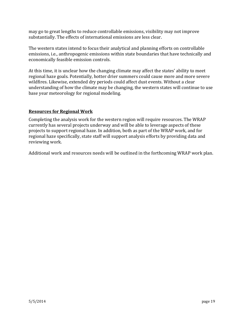may go to great lengths to reduce controllable emissions, visibility may not improve substantially. The effects of international emissions are less clear.

The western states intend to focus their analytical and planning efforts on controllable emissions, i.e., anthropogenic emissions within state boundaries that have technically and economically feasible emission controls.

At this time, it is unclear how the changing climate may affect the states' ability to meet regional haze goals. Potentially, hotter drier summers could cause more and more severe wildfires. Likewise, extended dry periods could affect dust events. Without a clear understanding of how the climate may be changing, the western states will continue to use base year meteorology for regional modeling.

#### **Resources for Regional Work**

Completing the analysis work for the western region will require resources. The WRAP currently has several projects underway and will be able to leverage aspects of these projects to support regional haze. In addition, both as part of the WRAP work, and for regional haze specifically, state staff will support analysis efforts by providing data and reviewing work.

Additional work and resources needs will be outlined in the forthcoming WRAP work plan.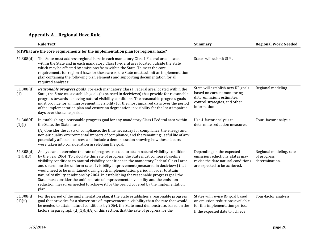# **Appendix A – Regional Haze Rule**

|                        | <b>Rule Text</b>                                                                                                                                                                                                                                                                                                                                                                                                                                                                                                                                                                                                                                                                                                                                   | <b>Summary</b>                                                                                                                                  | <b>Regional Work Needed</b>                              |
|------------------------|----------------------------------------------------------------------------------------------------------------------------------------------------------------------------------------------------------------------------------------------------------------------------------------------------------------------------------------------------------------------------------------------------------------------------------------------------------------------------------------------------------------------------------------------------------------------------------------------------------------------------------------------------------------------------------------------------------------------------------------------------|-------------------------------------------------------------------------------------------------------------------------------------------------|----------------------------------------------------------|
|                        | (d) What are the core requirements for the implementation plan for regional haze?                                                                                                                                                                                                                                                                                                                                                                                                                                                                                                                                                                                                                                                                  |                                                                                                                                                 |                                                          |
| 51.308(d)              | The State must address regional haze in each mandatory Class I Federal area located<br>within the State and in each mandatory Class I Federal area located outside the State<br>which may be affected by emissions from within the State. To meet the core<br>requirements for regional haze for these areas, the State must submit an implementation<br>plan containing the following plan elements and supporting documentation for all<br>required analyses:                                                                                                                                                                                                                                                                                    | States will submit SIPs.                                                                                                                        |                                                          |
| 51.308(d)<br>(1)       | Reasonable progress goals. For each mandatory Class I Federal area located within the<br>State, the State must establish goals (expressed in deciviews) that provide for reasonable<br>progress towards achieving natural visibility conditions. The reasonable progress goals<br>must provide for an improvement in visibility for the most impaired days over the period<br>of the implementation plan and ensure no degradation in visibility for the least impaired<br>days over the same period.                                                                                                                                                                                                                                              | State will establish new RP goals<br>based on current monitoring<br>data, emissions estimates,<br>control strategies, and other<br>information. | Regional modeling                                        |
| 51.308(d)<br>(1)(i)    | In establishing a reasonable progress goal for any mandatory Class I Federal area within<br>the State, the State must:<br>(A) Consider the costs of compliance, the time necessary for compliance, the energy and<br>non-air quality environmental impacts of compliance, and the remaining useful life of any<br>potentially affected sources, and include a demonstration showing how these factors<br>were taken into consideration in selecting the goal.                                                                                                                                                                                                                                                                                      | Use 4-factor analysis to<br>determine reduction measures.                                                                                       | Four-factor analysis                                     |
| 51.308(d)<br>(1)(i)(B) | Analyze and determine the rate of progress needed to attain natural visibility conditions<br>by the year 2064. To calculate this rate of progress, the State must compare baseline<br>visibility conditions to natural visibility conditions in the mandatory Federal Class I area<br>and determine the uniform rate of visibility improvement (measured in deciviews) that<br>would need to be maintained during each implementation period in order to attain<br>natural visibility conditions by 2064. In establishing the reasonable progress goal, the<br>State must consider the uniform rate of improvement in visibility and the emission<br>reduction measures needed to achieve it for the period covered by the implementation<br>plan. | Depending on the expected<br>emission reductions, states may<br>revise the date natural conditions<br>are expected to be achieved.              | Regional modeling, rate<br>of progress<br>determination. |
| 51.308(d)<br>(1)(ii)   | For the period of the implementation plan, if the State establishes a reasonable progress<br>goal that provides for a slower rate of improvement in visibility than the rate that would<br>be needed to attain natural conditions by 2064, the State must demonstrate, based on the<br>factors in paragraph $(d)(1)(i)(A)$ of this section, that the rate of progress for the                                                                                                                                                                                                                                                                                                                                                                      | States will revise RP goal based<br>on emission reductions available<br>for this implementation period.<br>If the expected date to achieve      | Four-factor analysis                                     |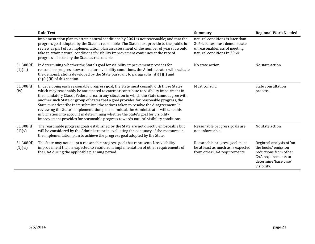|                       | <b>Rule Text</b>                                                                                                                                                                                                                                                                                                                                                                                                                                                                                                                                                                                                                                                                                                                     | <b>Summary</b>                                                                                                                  | <b>Regional Work Needed</b>                                                                                                             |
|-----------------------|--------------------------------------------------------------------------------------------------------------------------------------------------------------------------------------------------------------------------------------------------------------------------------------------------------------------------------------------------------------------------------------------------------------------------------------------------------------------------------------------------------------------------------------------------------------------------------------------------------------------------------------------------------------------------------------------------------------------------------------|---------------------------------------------------------------------------------------------------------------------------------|-----------------------------------------------------------------------------------------------------------------------------------------|
|                       | implementation plan to attain natural conditions by 2064 is not reasonable; and that the<br>progress goal adopted by the State is reasonable. The State must provide to the public for<br>review as part of its implementation plan an assessment of the number of years it would<br>take to attain natural conditions if visibility improvement continues at the rate of<br>progress selected by the State as reasonable.                                                                                                                                                                                                                                                                                                           | natural conditions is later than<br>2064, states must demonstrate<br>unreasonableness of meeting<br>natural conditions in 2064. |                                                                                                                                         |
| 51.308(d)<br>(1)(iii) | In determining whether the State's goal for visibility improvement provides for<br>reasonable progress towards natural visibility conditions, the Administrator will evaluate<br>the demonstrations developed by the State pursuant to paragraphs $(d)(1)(i)$ and<br>$(d)(1)(ii)$ of this section.                                                                                                                                                                                                                                                                                                                                                                                                                                   | No state action.                                                                                                                | No state action.                                                                                                                        |
| 51.308(d)<br>(iv)     | In developing each reasonable progress goal, the State must consult with those States<br>which may reasonably be anticipated to cause or contribute to visibility impairment in<br>the mandatory Class I Federal area. In any situation in which the State cannot agree with<br>another such State or group of States that a goal provides for reasonable progress, the<br>State must describe in its submittal the actions taken to resolve the disagreement. In<br>reviewing the State's implementation plan submittal, the Administrator will take this<br>information into account in determining whether the State's goal for visibility<br>improvement provides for reasonable progress towards natural visibility conditions. | Must consult.                                                                                                                   | State consultation<br>process.                                                                                                          |
| 51.308(d)<br>(1)(v)   | The reasonable progress goals established by the State are not directly enforceable but<br>will be considered by the Administrator in evaluating the adequacy of the measures in<br>the implementation plan to achieve the progress goal adopted by the State.                                                                                                                                                                                                                                                                                                                                                                                                                                                                       | Reasonable progress goals are<br>not enforceable.                                                                               | No state action.                                                                                                                        |
| 51.308(d)<br>(1)(vi)  | The State may not adopt a reasonable progress goal that represents less visibility<br>improvement than is expected to result from implementation of other requirements of<br>the CAA during the applicable planning period.                                                                                                                                                                                                                                                                                                                                                                                                                                                                                                          | Reasonable progress goal must<br>be at least as much as is expected<br>from other CAA requirements.                             | Regional analysis of 'on<br>the books' emission<br>reductions from other<br>CAA requirements to<br>determine 'base case'<br>visibility. |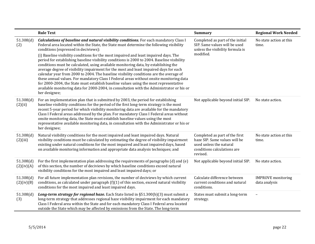|                         | <b>Rule Text</b>                                                                                                                                                                                                                                                                                                                                                                                                                                                                                                                                                                                                                                                                                                                                                                                                                                                                                                                                                                               | <b>Summary</b>                                                                                                                        | <b>Regional Work Needed</b>                |
|-------------------------|------------------------------------------------------------------------------------------------------------------------------------------------------------------------------------------------------------------------------------------------------------------------------------------------------------------------------------------------------------------------------------------------------------------------------------------------------------------------------------------------------------------------------------------------------------------------------------------------------------------------------------------------------------------------------------------------------------------------------------------------------------------------------------------------------------------------------------------------------------------------------------------------------------------------------------------------------------------------------------------------|---------------------------------------------------------------------------------------------------------------------------------------|--------------------------------------------|
| 51.308(d)<br>(2)        | Calculations of baseline and natural visibility conditions. For each mandatory Class I<br>Federal area located within the State, the State must determine the following visibility<br>conditions (expressed in deciviews):<br>(i) Baseline visibility conditions for the most impaired and least impaired days. The<br>period for establishing baseline visibility conditions is 2000 to 2004. Baseline visibility<br>conditions must be calculated, using available monitoring data, by establishing the<br>average degree of visibility impairment for the most and least impaired days for each<br>calendar year from 2000 to 2004. The baseline visibility conditions are the average of<br>these annual values. For mandatory Class I Federal areas without onsite monitoring data<br>for 2000-2004, the State must establish baseline values using the most representative<br>available monitoring data for 2000-2004, in consultation with the Administrator or his or<br>her designee; | Completed as part of the initial<br>SIP. Same values will be used<br>unless the visibility formula is<br>modified.                    | No state action at this<br>time.           |
| 51.308(d)<br>(2)(ii)    | For an implementation plan that is submitted by 2003, the period for establishing<br>baseline visibility conditions for the period of the first long-term strategy is the most<br>recent 5-year period for which visibility monitoring data are available for the mandatory<br>Class I Federal areas addressed by the plan. For mandatory Class I Federal areas without<br>onsite monitoring data, the State must establish baseline values using the most<br>representative available monitoring data, in consultation with the Administrator or his or<br>her designee;                                                                                                                                                                                                                                                                                                                                                                                                                      | Not applicable beyond initial SIP.                                                                                                    | No state action.                           |
| 51.308(d)<br>(2)(iii)   | Natural visibility conditions for the most impaired and least impaired days. Natural<br>visibility conditions must be calculated by estimating the degree of visibility impairment<br>existing under natural conditions for the most impaired and least impaired days, based<br>on available monitoring information and appropriate data analysis techniques; and                                                                                                                                                                                                                                                                                                                                                                                                                                                                                                                                                                                                                              | Completed as part of the first<br>haze SIP. Same values will be<br>used unless the natural<br>conditions calculations are<br>revised. | No state action at this<br>time.           |
| 51.308(d)<br>(2)(iv)(A) | For the first implementation plan addressing the requirements of paragraphs (d) and (e)<br>of this section, the number of deciviews by which baseline conditions exceed natural<br>visibility conditions for the most impaired and least impaired days; or                                                                                                                                                                                                                                                                                                                                                                                                                                                                                                                                                                                                                                                                                                                                     | Not applicable beyond initial SIP.                                                                                                    | No state action.                           |
| 51.308(d)<br>(2)(iv)(B) | For all future implementation plan revisions, the number of deciviews by which current<br>conditions, as calculated under paragraph $(f)(1)$ of this section, exceed natural visibility<br>conditions for the most impaired and least impaired days.                                                                                                                                                                                                                                                                                                                                                                                                                                                                                                                                                                                                                                                                                                                                           | Calculate difference between<br>current conditions and natural<br>conditions.                                                         | <b>IMPROVE</b> monitoring<br>data analysis |
| 51.308(d)<br>(3)        | Long-term strategy for regional haze. Each State listed in §51.300(b)(3) must submit a<br>long-term strategy that addresses regional haze visibility impairment for each mandatory<br>Class I Federal area within the State and for each mandatory Class I Federal area located<br>outside the State which may be affected by emissions from the State. The long-term                                                                                                                                                                                                                                                                                                                                                                                                                                                                                                                                                                                                                          | States must submit a long-term<br>strategy.                                                                                           |                                            |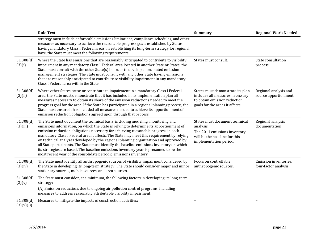|                        | <b>Rule Text</b>                                                                                                                                                                                                                                                                                                                                                                                                                                                                                                                                                                                                                                                                                                 | <b>Summary</b>                                                                                                                         | <b>Regional Work Needed</b>                   |
|------------------------|------------------------------------------------------------------------------------------------------------------------------------------------------------------------------------------------------------------------------------------------------------------------------------------------------------------------------------------------------------------------------------------------------------------------------------------------------------------------------------------------------------------------------------------------------------------------------------------------------------------------------------------------------------------------------------------------------------------|----------------------------------------------------------------------------------------------------------------------------------------|-----------------------------------------------|
|                        | strategy must include enforceable emissions limitations, compliance schedules, and other<br>measures as necessary to achieve the reasonable progress goals established by States<br>having mandatory Class I Federal areas. In establishing its long-term strategy for regional<br>haze, the State must meet the following requirements:                                                                                                                                                                                                                                                                                                                                                                         |                                                                                                                                        |                                               |
| 51.308(d)<br>(3)(i)    | Where the State has emissions that are reasonably anticipated to contribute to visibility<br>impairment in any mandatory Class I Federal area located in another State or States, the<br>State must consult with the other State(s) in order to develop coordinated emission<br>management strategies. The State must consult with any other State having emissions<br>that are reasonably anticipated to contribute to visibility impairment in any mandatory<br>Class I Federal area within the State.                                                                                                                                                                                                         | States must consult.                                                                                                                   | State consultation<br>process                 |
| 51.308(d)<br>(3)(ii)   | Where other States cause or contribute to impairment in a mandatory Class I Federal<br>area, the State must demonstrate that it has included in its implementation plan all<br>measures necessary to obtain its share of the emission reductions needed to meet the<br>progress goal for the area. If the State has participated in a regional planning process, the<br>State must ensure it has included all measures needed to achieve its apportionment of<br>emission reduction obligations agreed upon through that process.                                                                                                                                                                                | States must demonstrate its plan<br>includes all measures necessary<br>to obtain emission reduction<br>goals for the areas it affects. | Regional analysis and<br>source apportionment |
| 51.308(d)<br>(3)(iii)  | The State must document the technical basis, including modeling, monitoring and<br>emissions information, on which the State is relying to determine its apportionment of<br>emission reduction obligations necessary for achieving reasonable progress in each<br>mandatory Class I Federal area it affects. The State may meet this requirement by relying<br>on technical analyses developed by the regional planning organization and approved by<br>all State participants. The State must identify the baseline emissions inventory on which<br>its strategies are based. The baseline emissions inventory year is presumed to be the<br>most recent year of the consolidate periodic emissions inventory. | States must document technical<br>analysis.<br>The 2011 emissions inventory<br>will be the baseline for this<br>implementation period. | Regional analysis<br>documentation            |
| 51.308(d)<br>(3)(iv)   | The State must identify all anthropogenic sources of visibility impairment considered by<br>the State in developing its long-term strategy. The State should consider major and minor<br>stationary sources, mobile sources, and area sources.                                                                                                                                                                                                                                                                                                                                                                                                                                                                   | Focus on controllable<br>anthropogenic sources.                                                                                        | Emission inventories,<br>four-factor analysis |
| 51.308(d)<br>(3)(v)    | The State must consider, at a minimum, the following factors in developing its long-term<br>strategy:<br>(A) Emission reductions due to ongoing air pollution control programs, including<br>measures to address reasonably attributable visibility impairment;                                                                                                                                                                                                                                                                                                                                                                                                                                                  |                                                                                                                                        |                                               |
| 51.308(d)<br>(3)(v)(B) | Measures to mitigate the impacts of construction activities;                                                                                                                                                                                                                                                                                                                                                                                                                                                                                                                                                                                                                                                     |                                                                                                                                        |                                               |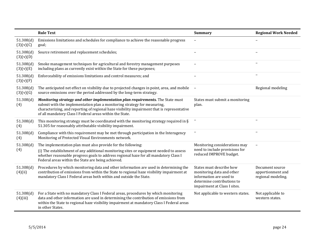|                        | <b>Rule Text</b>                                                                                                                                                                                                                                                                                                      | <b>Summary</b>                                                                                                                                 | <b>Regional Work Needed</b>                                |
|------------------------|-----------------------------------------------------------------------------------------------------------------------------------------------------------------------------------------------------------------------------------------------------------------------------------------------------------------------|------------------------------------------------------------------------------------------------------------------------------------------------|------------------------------------------------------------|
| 51.308(d)<br>(3)(v)(C) | Emissions limitations and schedules for compliance to achieve the reasonable progress<br>goal;                                                                                                                                                                                                                        |                                                                                                                                                |                                                            |
| 51.308(d)<br>(3)(v)(D) | Source retirement and replacement schedules;                                                                                                                                                                                                                                                                          |                                                                                                                                                |                                                            |
| 51.308(d)<br>(3)(v)(E) | Smoke management techniques for agricultural and forestry management purposes<br>including plans as currently exist within the State for these purposes;                                                                                                                                                              |                                                                                                                                                |                                                            |
| 51.308(d)<br>(3)(v)(F) | Enforceability of emissions limitations and control measures; and                                                                                                                                                                                                                                                     |                                                                                                                                                |                                                            |
| 51.308(d)<br>(3)(v)(G) | The anticipated net effect on visibility due to projected changes in point, area, and mobile<br>source emissions over the period addressed by the long-term strategy.                                                                                                                                                 | $\overline{\phantom{a}}$                                                                                                                       | Regional modeling                                          |
| 51.308(d)<br>(4)       | Monitoring strategy and other implementation plan requirements. The State must<br>submit with the implementation plan a monitoring strategy for measuring,<br>characterizing, and reporting of regional haze visibility impairment that is representative<br>of all mandatory Class I Federal areas within the State. | States must submit a monitoring<br>plan.                                                                                                       |                                                            |
| 51.308(d)<br>(4)       | This monitoring strategy must be coordinated with the monitoring strategy required in $\S$<br>51.305 for reasonably attributable visibility impairment.                                                                                                                                                               |                                                                                                                                                |                                                            |
| 51.308(d)<br>(4)       | Compliance with this requirement may be met through participation in the Interagency<br>Monitoring of Protected Visual Environments network.                                                                                                                                                                          |                                                                                                                                                |                                                            |
| 51.308(d)<br>(4)       | The implementation plan must also provide for the following:<br>(i) The establishment of any additional monitoring sites or equipment needed to assess<br>whether reasonable progress goals to address regional haze for all mandatory Class I<br>Federal areas within the State are being achieved.                  | Monitoring considerations may<br>need to include provisions for<br>reduced IMPROVE budget.                                                     |                                                            |
| 51.308(d)<br>(4)(ii)   | Procedures by which monitoring data and other information are used in determining the<br>contribution of emissions from within the State to regional haze visibility impairment at<br>mandatory Class I Federal areas both within and outside the State.                                                              | States must describe how<br>monitoring data and other<br>information are used to<br>determine contributions to<br>impairment at Class I sites. | Document source<br>apportionment and<br>regional modeling. |
| 51.308(d)<br>(4)(iii)  | For a State with no mandatory Class I Federal areas, procedures by which monitoring<br>data and other information are used in determining the contribution of emissions from<br>within the State to regional haze visibility impairment at mandatory Class I Federal areas<br>in other States.                        | Not applicable to western states.                                                                                                              | Not applicable to<br>western states.                       |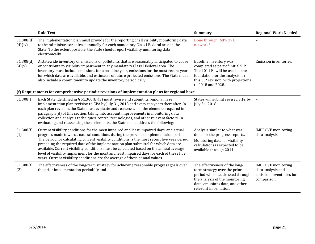|                      | <b>Rule Text</b>                                                                                                                                                                                                                                                                                                                                                                                                                                                                                                                                                                                                                               | <b>Summary</b>                                                                                                                                                                                   | <b>Regional Work Needed</b>                                                               |
|----------------------|------------------------------------------------------------------------------------------------------------------------------------------------------------------------------------------------------------------------------------------------------------------------------------------------------------------------------------------------------------------------------------------------------------------------------------------------------------------------------------------------------------------------------------------------------------------------------------------------------------------------------------------------|--------------------------------------------------------------------------------------------------------------------------------------------------------------------------------------------------|-------------------------------------------------------------------------------------------|
| 51.308(d)<br>(4)(iv) | The implementation plan must provide for the reporting of all visibility monitoring data<br>to the Administrator at least annually for each mandatory Class I Federal area in the<br>State. To the extent possible, the State should report visibility monitoring data<br>electronically.                                                                                                                                                                                                                                                                                                                                                      | Done through IMPROVE<br>network?                                                                                                                                                                 |                                                                                           |
| 51.308(d)<br>(4)(v)  | A statewide inventory of emissions of pollutants that are reasonably anticipated to cause<br>or contribute to visibility impairment in any mandatory Class I Federal area. The<br>inventory must include emissions for a baseline year, emissions for the most recent year<br>for which data are available, and estimates of future projected emissions. The State must<br>also include a commitment to update the inventory periodically.                                                                                                                                                                                                     | Baseline inventory was<br>completed as part of initial SIP.<br>The 2011 EI will be used as the<br>foundation for the analysis for<br>this SIP revision, with projections<br>to 2018 and 2028.    | Emission inventories.                                                                     |
|                      | (f) Requirements for comprehensive periodic revisions of implementation plans for regional haze                                                                                                                                                                                                                                                                                                                                                                                                                                                                                                                                                |                                                                                                                                                                                                  |                                                                                           |
| 51.308(f)            | Each State identified in § 51.300(b)(3) must revise and submit its regional haze<br>implementation plan revision to EPA by July 31, 2018 and every ten years thereafter. In<br>each plan revision, the State must evaluate and reassess all of the elements required in<br>paragraph (d) of this section, taking into account improvements in monitoring data<br>collection and analysis techniques, control technologies, and other relevant factors. In<br>evaluating and reassessing these elements, the State must address the following:                                                                                                  | States will submit revised SIPs by -<br>July 31, 2018.                                                                                                                                           |                                                                                           |
| 51.308(f)<br>(1)     | Current visibility conditions for the most impaired and least impaired days, and actual<br>progress made towards natural conditions during the previous implementation period.<br>The period for calculating current visibility conditions is the most recent five year period<br>preceding the required date of the implementation plan submittal for which data are<br>available. Current visibility conditions must be calculated based on the annual average<br>level of visibility impairment for the most and least impaired days for each of these five<br>years. Current visibility conditions are the average of these annual values. | Analysis similar to what was<br>done for the progress reports.<br>Monitoring data for visibility<br>calculations is expected to be<br>available through 2014.                                    | <b>IMPROVE</b> monitoring<br>data analysis.                                               |
| 51.308(f)<br>(2)     | The effectiveness of the long-term strategy for achieving reasonable progress goals over<br>the prior implementation period $(s)$ ; and                                                                                                                                                                                                                                                                                                                                                                                                                                                                                                        | The effectiveness of the long-<br>term strategy over the prior<br>period will be addressed through<br>the analysis of the monitoring<br>data, emissions data, and other<br>relevant information. | <b>IMPROVE</b> monitoring<br>data analysis and<br>emission inventories for<br>comparison. |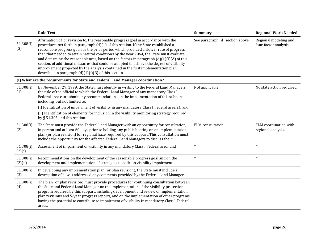|                                                                                | <b>Rule Text</b>                                                                                                                                                                                                                                                                                                                                                                                                                                                                                                                                                                                                                                                                                          | <b>Summary</b>                   | <b>Regional Work Needed</b>                   |  |  |  |  |  |  |  |
|--------------------------------------------------------------------------------|-----------------------------------------------------------------------------------------------------------------------------------------------------------------------------------------------------------------------------------------------------------------------------------------------------------------------------------------------------------------------------------------------------------------------------------------------------------------------------------------------------------------------------------------------------------------------------------------------------------------------------------------------------------------------------------------------------------|----------------------------------|-----------------------------------------------|--|--|--|--|--|--|--|
| 51.308(f)<br>(3)                                                               | Affirmation of, or revision to, the reasonable progress goal in accordance with the<br>procedures set forth in paragraph (d)(1) of this section. If the State established a<br>reasonable progress goal for the prior period which provided a slower rate of progress<br>than that needed to attain natural conditions by the year 2064, the State must evaluate<br>and determine the reasonableness, based on the factors in paragraph $(d)(1)(i)(A)$ of this<br>section, of additional measures that could be adopted to achieve the degree of visibility<br>improvement projected by the analysis contained in the first implementation plan<br>described in paragraph $(d)(1)(i)(B)$ of this section. | See paragraph (d) section above. | Regional modeling and<br>four-factor analysis |  |  |  |  |  |  |  |
| (i) What are the requirements for State and Federal Land Manager coordination? |                                                                                                                                                                                                                                                                                                                                                                                                                                                                                                                                                                                                                                                                                                           |                                  |                                               |  |  |  |  |  |  |  |
| 51.308(i)<br>(1)                                                               | By November 29, 1999, the State must identify in writing to the Federal Land Managers<br>the title of the official to which the Federal Land Manager of any mandatory Class I<br>Federal area can submit any recommendations on the implementation of this subpart<br>including, but not limited to:                                                                                                                                                                                                                                                                                                                                                                                                      | Not applicable.                  | No state action required.                     |  |  |  |  |  |  |  |
|                                                                                | (i) Identification of impairment of visibility in any mandatory Class I Federal area(s); and                                                                                                                                                                                                                                                                                                                                                                                                                                                                                                                                                                                                              |                                  |                                               |  |  |  |  |  |  |  |
|                                                                                | (ii) Identification of elements for inclusion in the visibility monitoring strategy required<br>by $\S$ 51.305 and this section.                                                                                                                                                                                                                                                                                                                                                                                                                                                                                                                                                                          |                                  |                                               |  |  |  |  |  |  |  |
| 51.308(i)<br>(2)                                                               | The State must provide the Federal Land Manager with an opportunity for consultation,<br>in person and at least 60 days prior to holding any public hearing on an implementation<br>plan (or plan revision) for regional haze required by this subpart. This consultation must<br>include the opportunity for the affected Federal Land Managers to discuss their:                                                                                                                                                                                                                                                                                                                                        | FLM consultation                 | FLM coordination with<br>regional analysis.   |  |  |  |  |  |  |  |
| 51.308(i)<br>(2)(i)                                                            | Assessment of impairment of visibility in any mandatory Class I Federal area; and                                                                                                                                                                                                                                                                                                                                                                                                                                                                                                                                                                                                                         |                                  | $\overline{\phantom{a}}$                      |  |  |  |  |  |  |  |
| 51.308(i)<br>(2)(ii)                                                           | Recommendations on the development of the reasonable progress goal and on the<br>development and implementation of strategies to address visibility impairment.                                                                                                                                                                                                                                                                                                                                                                                                                                                                                                                                           |                                  | $\overline{\phantom{a}}$                      |  |  |  |  |  |  |  |
| 51.308(i)<br>(3)                                                               | In developing any implementation plan (or plan revision), the State must include a<br>description of how it addressed any comments provided by the Federal Land Managers.                                                                                                                                                                                                                                                                                                                                                                                                                                                                                                                                 |                                  | $\overline{\phantom{m}}$                      |  |  |  |  |  |  |  |
| 51.308(i)<br>(4)                                                               | The plan (or plan revision) must provide procedures for continuing consultation between<br>the State and Federal Land Manager on the implementation of the visibility protection<br>program required by this subpart, including development and review of implementation<br>plan revisions and 5-year progress reports, and on the implementation of other programs<br>having the potential to contribute to impairment of visibility in mandatory Class I Federal<br>areas.                                                                                                                                                                                                                              |                                  |                                               |  |  |  |  |  |  |  |